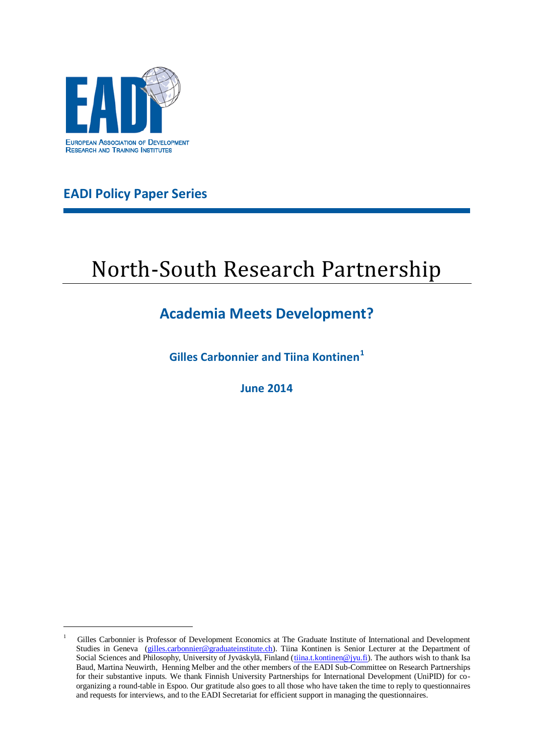

**EADI Policy Paper Series**

1

# North-South Research Partnership

# **Academia Meets Development?**

<span id="page-0-0"></span>**Gilles Carbonnier and Tiina Kontinen<sup>1</sup>**

**June 2014**

<sup>1</sup> Gilles Carbonnier is Professor of Development Economics at The Graduate Institute of International and Development Studies in Geneva [\(gilles.carbonnier@graduateinstitute.ch\)](mailto:gilles.carbonnier@graduateinstitute.ch). Tiina Kontinen is Senior Lecturer at the Department of Social Sciences and Philosophy, University of Jyväskylä, Finland [\(tiina.t.kontinen@jyu.fi\)](mailto:tiina.t.kontinen@jyu.fi). The authors wish to thank Isa Baud, Martina Neuwirth, Henning Melber and the other members of the EADI Sub-Committee on Research Partnerships for their substantive inputs. We thank Finnish University Partnerships for International Development (UniPID) for coorganizing a round-table in Espoo. Our gratitude also goes to all those who have taken the time to reply to questionnaires and requests for interviews, and to the EADI Secretariat for efficient support in managing the questionnaires.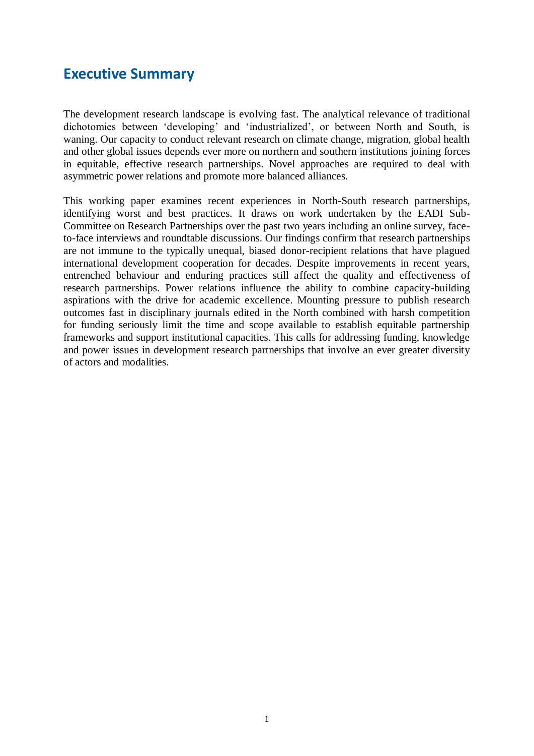### **Executive Summary**

The development research landscape is evolving fast. The analytical relevance of traditional dichotomies between 'developing' and 'industrialized', or between North and South, is waning. Our capacity to conduct relevant research on climate change, migration, global health and other global issues depends ever more on northern and southern institutions joining forces in equitable, effective research partnerships. Novel approaches are required to deal with asymmetric power relations and promote more balanced alliances.

This working paper examines recent experiences in North-South research partnerships, identifying worst and best practices. It draws on work undertaken by the EADI Sub-Committee on Research Partnerships over the past two years including an online survey, faceto-face interviews and roundtable discussions. Our findings confirm that research partnerships are not immune to the typically unequal, biased donor-recipient relations that have plagued international development cooperation for decades. Despite improvements in recent years, entrenched behaviour and enduring practices still affect the quality and effectiveness of research partnerships. Power relations influence the ability to combine capacity-building aspirations with the drive for academic excellence. Mounting pressure to publish research outcomes fast in disciplinary journals edited in the North combined with harsh competition for funding seriously limit the time and scope available to establish equitable partnership frameworks and support institutional capacities. This calls for addressing funding, knowledge and power issues in development research partnerships that involve an ever greater diversity of actors and modalities.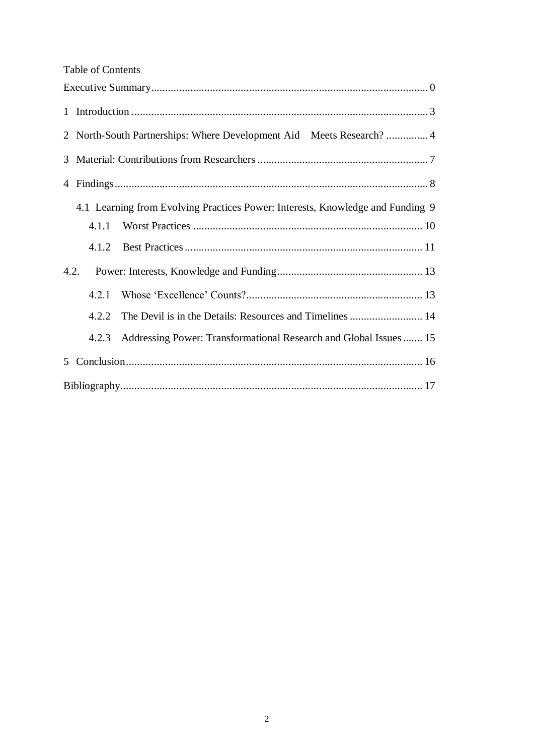|  | <b>Table of Contents</b> |
|--|--------------------------|
|--|--------------------------|

|                                                                                | 2 North-South Partnerships: Where Development Aid Meets Research? 4 |                                                                  |  |
|--------------------------------------------------------------------------------|---------------------------------------------------------------------|------------------------------------------------------------------|--|
| 3                                                                              |                                                                     |                                                                  |  |
|                                                                                |                                                                     |                                                                  |  |
| 4.1 Learning from Evolving Practices Power: Interests, Knowledge and Funding 9 |                                                                     |                                                                  |  |
|                                                                                | 4.1.1                                                               |                                                                  |  |
|                                                                                | 4.1.2                                                               |                                                                  |  |
| 4.2.                                                                           |                                                                     |                                                                  |  |
|                                                                                | 4.2.1                                                               |                                                                  |  |
|                                                                                | 4.2.2                                                               | The Devil is in the Details: Resources and Timelines  14         |  |
|                                                                                | 4.2.3                                                               | Addressing Power: Transformational Research and Global Issues 15 |  |
| 5                                                                              |                                                                     |                                                                  |  |
|                                                                                |                                                                     |                                                                  |  |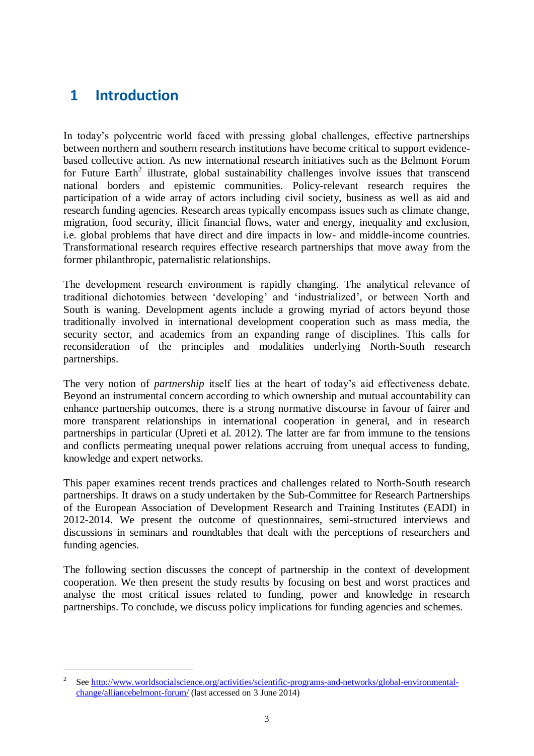# <span id="page-3-0"></span>**1 Introduction**

1

In today's polycentric world faced with pressing global challenges, effective partnerships between northern and southern research institutions have become critical to support evidencebased collective action. As new international research initiatives such as the Belmont Forum for Future Earth<sup>2</sup> illustrate, global sustainability challenges involve issues that transcend national borders and epistemic communities. Policy-relevant research requires the participation of a wide array of actors including civil society, business as well as aid and research funding agencies. Research areas typically encompass issues such as climate change, migration, food security, illicit financial flows, water and energy, inequality and exclusion, i.e. global problems that have direct and dire impacts in low- and middle-income countries. Transformational research requires effective research partnerships that move away from the former philanthropic, paternalistic relationships.

The development research environment is rapidly changing. The analytical relevance of traditional dichotomies between 'developing' and 'industrialized', or between North and South is waning. Development agents include a growing myriad of actors beyond those traditionally involved in international development cooperation such as mass media, the security sector, and academics from an expanding range of disciplines. This calls for reconsideration of the principles and modalities underlying North-South research partnerships.

The very notion of *partnership* itself lies at the heart of today's aid effectiveness debate. Beyond an instrumental concern according to which ownership and mutual accountability can enhance partnership outcomes, there is a strong normative discourse in favour of fairer and more transparent relationships in international cooperation in general, and in research partnerships in particular (Upreti et al. 2012). The latter are far from immune to the tensions and conflicts permeating unequal power relations accruing from unequal access to funding, knowledge and expert networks.

This paper examines recent trends practices and challenges related to North-South research partnerships. It draws on a study undertaken by the Sub-Committee for Research Partnerships of the European Association of Development Research and Training Institutes (EADI) in 2012-2014. We present the outcome of questionnaires, semi-structured interviews and discussions in seminars and roundtables that dealt with the perceptions of researchers and funding agencies.

The following section discusses the concept of partnership in the context of development cooperation. We then present the study results by focusing on best and worst practices and analyse the most critical issues related to funding, power and knowledge in research partnerships. To conclude, we discuss policy implications for funding agencies and schemes.

<sup>2</sup> See [http://www.worldsocialscience.org/activities/scientific-programs-and-networks/global-environmental](http://www.worldsocialscience.org/activities/scientific-programs-and-networks/global-environmental-change/alliancebelmont-forum/)[change/alliancebelmont-forum/](http://www.worldsocialscience.org/activities/scientific-programs-and-networks/global-environmental-change/alliancebelmont-forum/) (last accessed on 3 June 2014)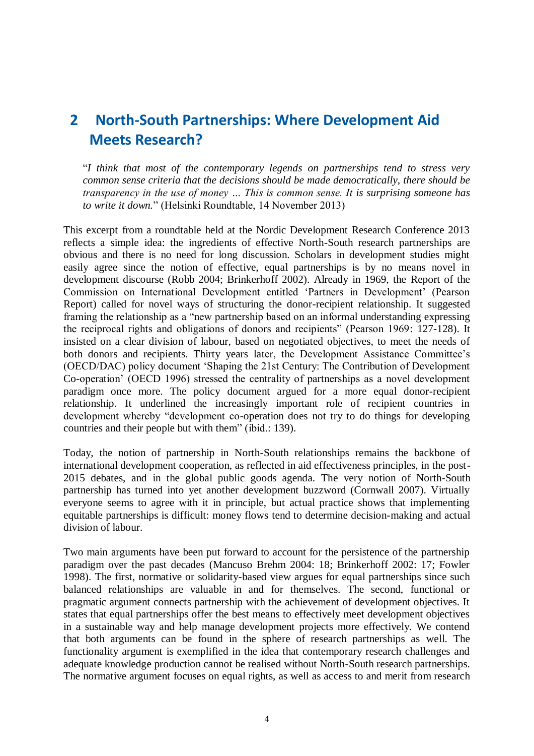# <span id="page-4-0"></span>**2 North-South Partnerships: Where Development Aid Meets Research?**

"*I think that most of the contemporary legends on partnerships tend to stress very common sense criteria that the decisions should be made democratically, there should be transparency in the use of money … This is common sense. It is surprising someone has to write it down.*" (Helsinki Roundtable, 14 November 2013)

This excerpt from a roundtable held at the Nordic Development Research Conference 2013 reflects a simple idea: the ingredients of effective North-South research partnerships are obvious and there is no need for long discussion. Scholars in development studies might easily agree since the notion of effective, equal partnerships is by no means novel in development discourse (Robb 2004; Brinkerhoff 2002). Already in 1969, the Report of the Commission on International Development entitled 'Partners in Development' (Pearson Report) called for novel ways of structuring the donor-recipient relationship. It suggested framing the relationship as a "new partnership based on an informal understanding expressing the reciprocal rights and obligations of donors and recipients" (Pearson 1969: 127-128). It insisted on a clear division of labour, based on negotiated objectives, to meet the needs of both donors and recipients. Thirty years later, the Development Assistance Committee's (OECD/DAC) policy document 'Shaping the 21st Century: The Contribution of Development Co-operation' (OECD 1996) stressed the centrality of partnerships as a novel development paradigm once more. The policy document argued for a more equal donor-recipient relationship. It underlined the increasingly important role of recipient countries in development whereby "development co-operation does not try to do things for developing countries and their people but with them" (ibid.: 139).

Today, the notion of partnership in North-South relationships remains the backbone of international development cooperation, as reflected in aid effectiveness principles, in the post-2015 debates, and in the global public goods agenda. The very notion of North-South partnership has turned into yet another development buzzword (Cornwall 2007). Virtually everyone seems to agree with it in principle, but actual practice shows that implementing equitable partnerships is difficult: money flows tend to determine decision-making and actual division of labour.

Two main arguments have been put forward to account for the persistence of the partnership paradigm over the past decades (Mancuso Brehm 2004: 18; Brinkerhoff 2002: 17; Fowler 1998). The first, normative or solidarity-based view argues for equal partnerships since such balanced relationships are valuable in and for themselves. The second, functional or pragmatic argument connects partnership with the achievement of development objectives. It states that equal partnerships offer the best means to effectively meet development objectives in a sustainable way and help manage development projects more effectively. We contend that both arguments can be found in the sphere of research partnerships as well. The functionality argument is exemplified in the idea that contemporary research challenges and adequate knowledge production cannot be realised without North-South research partnerships. The normative argument focuses on equal rights, as well as access to and merit from research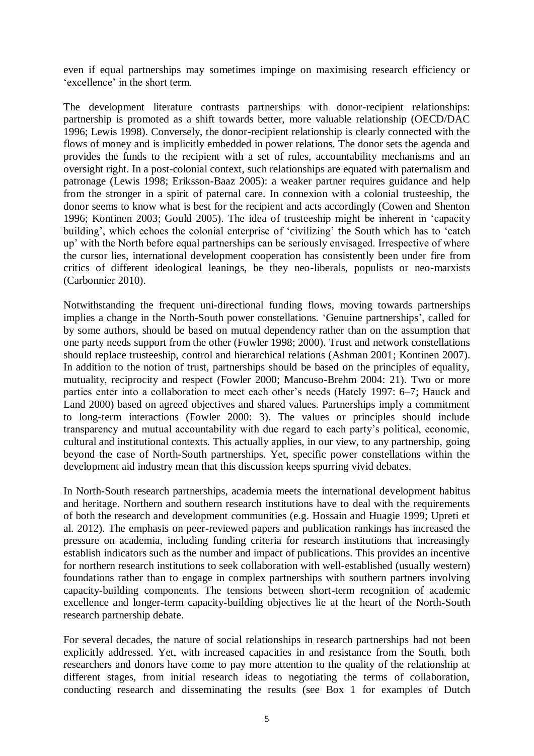even if equal partnerships may sometimes impinge on maximising research efficiency or 'excellence' in the short term.

The development literature contrasts partnerships with donor-recipient relationships: partnership is promoted as a shift towards better, more valuable relationship (OECD/DAC 1996; Lewis 1998). Conversely, the donor-recipient relationship is clearly connected with the flows of money and is implicitly embedded in power relations. The donor sets the agenda and provides the funds to the recipient with a set of rules, accountability mechanisms and an oversight right. In a post-colonial context, such relationships are equated with paternalism and patronage (Lewis 1998; Eriksson-Baaz 2005): a weaker partner requires guidance and help from the stronger in a spirit of paternal care. In connexion with a colonial trusteeship, the donor seems to know what is best for the recipient and acts accordingly (Cowen and Shenton 1996; Kontinen 2003; Gould 2005). The idea of trusteeship might be inherent in 'capacity building', which echoes the colonial enterprise of 'civilizing' the South which has to 'catch up' with the North before equal partnerships can be seriously envisaged. Irrespective of where the cursor lies, international development cooperation has consistently been under fire from critics of different ideological leanings, be they neo-liberals, populists or neo-marxists (Carbonnier 2010).

Notwithstanding the frequent uni-directional funding flows, moving towards partnerships implies a change in the North-South power constellations. 'Genuine partnerships', called for by some authors, should be based on mutual dependency rather than on the assumption that one party needs support from the other (Fowler 1998; 2000). Trust and network constellations should replace trusteeship, control and hierarchical relations (Ashman 2001; Kontinen 2007). In addition to the notion of trust, partnerships should be based on the principles of equality, mutuality, reciprocity and respect (Fowler 2000; Mancuso-Brehm 2004: 21). Two or more parties enter into a collaboration to meet each other's needs (Hately 1997: 6–7; Hauck and Land 2000) based on agreed objectives and shared values. Partnerships imply a commitment to long-term interactions (Fowler 2000: 3). The values or principles should include transparency and mutual accountability with due regard to each party's political, economic, cultural and institutional contexts. This actually applies, in our view, to any partnership, going beyond the case of North-South partnerships. Yet, specific power constellations within the development aid industry mean that this discussion keeps spurring vivid debates.

In North-South research partnerships, academia meets the international development habitus and heritage. Northern and southern research institutions have to deal with the requirements of both the research and development communities (e.g. Hossain and Huagie 1999; Upreti et al. 2012). The emphasis on peer-reviewed papers and publication rankings has increased the pressure on academia, including funding criteria for research institutions that increasingly establish indicators such as the number and impact of publications. This provides an incentive for northern research institutions to seek collaboration with well-established (usually western) foundations rather than to engage in complex partnerships with southern partners involving capacity-building components. The tensions between short-term recognition of academic excellence and longer-term capacity-building objectives lie at the heart of the North-South research partnership debate.

For several decades, the nature of social relationships in research partnerships had not been explicitly addressed. Yet, with increased capacities in and resistance from the South, both researchers and donors have come to pay more attention to the quality of the relationship at different stages, from initial research ideas to negotiating the terms of collaboration, conducting research and disseminating the results (see Box 1 for examples of Dutch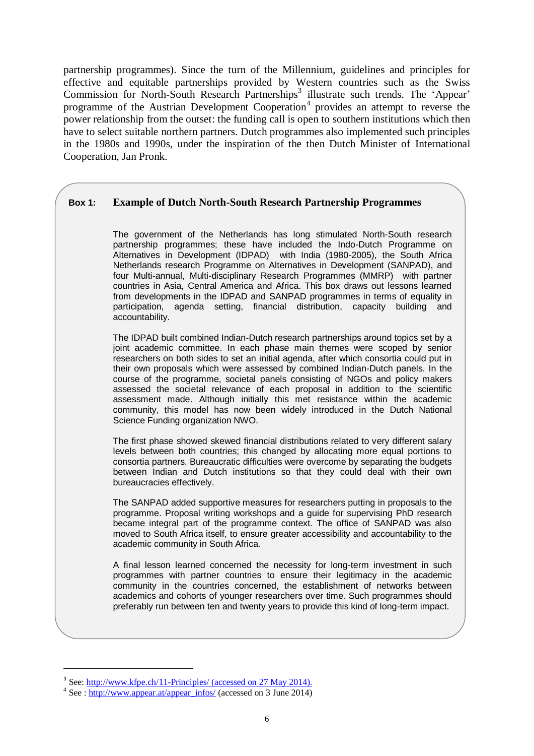partnership programmes). Since the turn of the Millennium, guidelines and principles for effective and equitable partnerships provided by Western countries such as the Swiss Commission for North-South Research Partnerships<sup>3</sup> illustrate such trends. The 'Appear' programme of the Austrian Development Cooperation<sup>4</sup> provides an attempt to reverse the power relationship from the outset: the funding call is open to southern institutions which then have to select suitable northern partners. Dutch programmes also implemented such principles in the 1980s and 1990s, under the inspiration of the then Dutch Minister of International Cooperation, Jan Pronk.

#### **Box 1: Example of Dutch North-South Research Partnership Programmes**

The government of the Netherlands has long stimulated North-South research partnership programmes; these have included the Indo-Dutch Programme on Alternatives in Development (IDPAD) with India (1980-2005), the South Africa Netherlands research Programme on Alternatives in Development (SANPAD), and four Multi-annual, Multi-disciplinary Research Programmes (MMRP) with partner countries in Asia, Central America and Africa. This box draws out lessons learned from developments in the IDPAD and SANPAD programmes in terms of equality in participation, agenda setting, financial distribution, capacity building and accountability.

The IDPAD built combined Indian-Dutch research partnerships around topics set by a joint academic committee. In each phase main themes were scoped by senior researchers on both sides to set an initial agenda, after which consortia could put in their own proposals which were assessed by combined Indian-Dutch panels. In the course of the programme, societal panels consisting of NGOs and policy makers assessed the societal relevance of each proposal in addition to the scientific assessment made. Although initially this met resistance within the academic community, this model has now been widely introduced in the Dutch National Science Funding organization NWO.

The first phase showed skewed financial distributions related to very different salary levels between both countries; this changed by allocating more equal portions to consortia partners. Bureaucratic difficulties were overcome by separating the budgets between Indian and Dutch institutions so that they could deal with their own bureaucracies effectively.

The SANPAD added supportive measures for researchers putting in proposals to the programme. Proposal writing workshops and a guide for supervising PhD research became integral part of the programme context. The office of SANPAD was also moved to South Africa itself, to ensure greater accessibility and accountability to the academic community in South Africa.

A final lesson learned concerned the necessity for long-term investment in such programmes with partner countries to ensure their legitimacy in the academic community in the countries concerned, the establishment of networks between academics and cohorts of younger researchers over time. Such programmes should preferably run between ten and twenty years to provide this kind of long-term impact.

1

<sup>&</sup>lt;sup>3</sup> See:<http://www.kfpe.ch/11-Principles/> (accessed on 27 May 2014).

 $4$  See : [http://www.appear.at/appear\\_infos/](http://www.appear.at/appear_infos/) (accessed on 3 June 2014)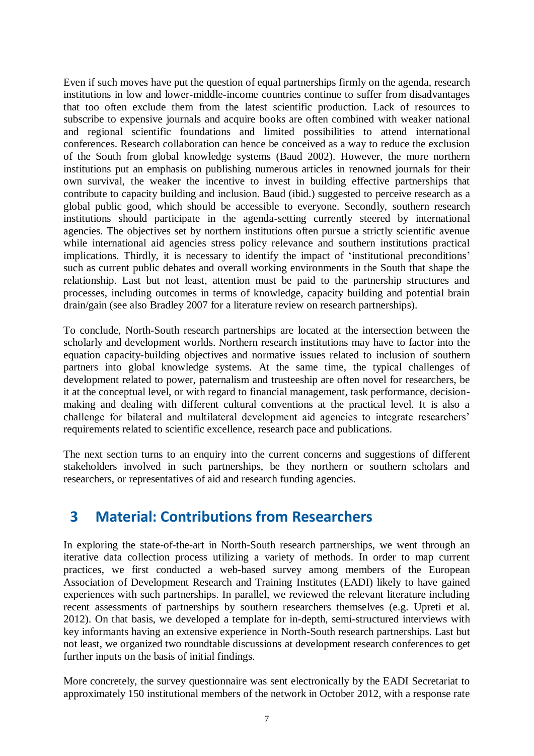Even if such moves have put the question of equal partnerships firmly on the agenda, research institutions in low and lower-middle-income countries continue to suffer from disadvantages that too often exclude them from the latest scientific production. Lack of resources to subscribe to expensive journals and acquire books are often combined with weaker national and regional scientific foundations and limited possibilities to attend international conferences. Research collaboration can hence be conceived as a way to reduce the exclusion of the South from global knowledge systems (Baud 2002). However, the more northern institutions put an emphasis on publishing numerous articles in renowned journals for their own survival, the weaker the incentive to invest in building effective partnerships that contribute to capacity building and inclusion. Baud (ibid.) suggested to perceive research as a global public good, which should be accessible to everyone. Secondly, southern research institutions should participate in the agenda-setting currently steered by international agencies. The objectives set by northern institutions often pursue a strictly scientific avenue while international aid agencies stress policy relevance and southern institutions practical implications. Thirdly, it is necessary to identify the impact of 'institutional preconditions' such as current public debates and overall working environments in the South that shape the relationship. Last but not least, attention must be paid to the partnership structures and processes, including outcomes in terms of knowledge, capacity building and potential brain drain/gain (see also Bradley 2007 for a literature review on research partnerships).

To conclude, North-South research partnerships are located at the intersection between the scholarly and development worlds. Northern research institutions may have to factor into the equation capacity-building objectives and normative issues related to inclusion of southern partners into global knowledge systems. At the same time, the typical challenges of development related to power, paternalism and trusteeship are often novel for researchers, be it at the conceptual level, or with regard to financial management, task performance, decisionmaking and dealing with different cultural conventions at the practical level. It is also a challenge for bilateral and multilateral development aid agencies to integrate researchers' requirements related to scientific excellence, research pace and publications.

The next section turns to an enquiry into the current concerns and suggestions of different stakeholders involved in such partnerships, be they northern or southern scholars and researchers, or representatives of aid and research funding agencies.

## <span id="page-7-0"></span>**3 Material: Contributions from Researchers**

In exploring the state-of-the-art in North-South research partnerships, we went through an iterative data collection process utilizing a variety of methods. In order to map current practices, we first conducted a web-based survey among members of the European Association of Development Research and Training Institutes (EADI) likely to have gained experiences with such partnerships. In parallel, we reviewed the relevant literature including recent assessments of partnerships by southern researchers themselves (e.g. Upreti et al. 2012). On that basis, we developed a template for in-depth, semi-structured interviews with key informants having an extensive experience in North-South research partnerships. Last but not least, we organized two roundtable discussions at development research conferences to get further inputs on the basis of initial findings.

More concretely, the survey questionnaire was sent electronically by the EADI Secretariat to approximately 150 institutional members of the network in October 2012, with a response rate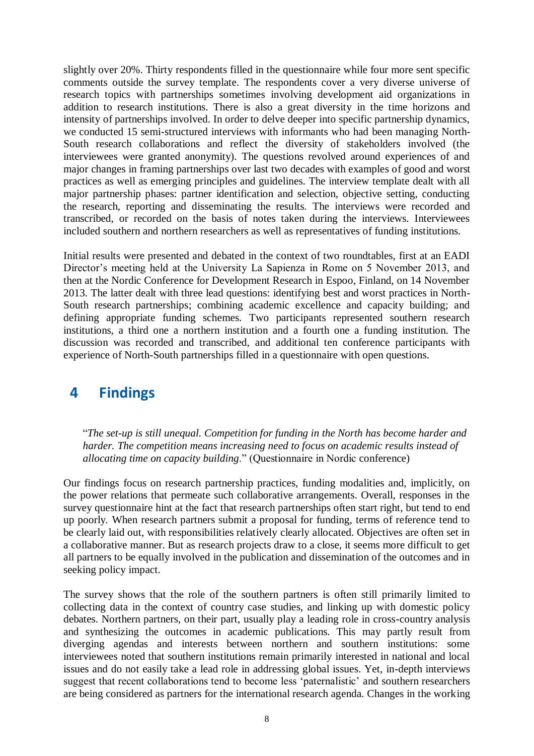slightly over 20%. Thirty respondents filled in the questionnaire while four more sent specific comments outside the survey template. The respondents cover a very diverse universe of research topics with partnerships sometimes involving development aid organizations in addition to research institutions. There is also a great diversity in the time horizons and intensity of partnerships involved. In order to delve deeper into specific partnership dynamics, we conducted 15 semi-structured interviews with informants who had been managing North-South research collaborations and reflect the diversity of stakeholders involved (the interviewees were granted anonymity). The questions revolved around experiences of and major changes in framing partnerships over last two decades with examples of good and worst practices as well as emerging principles and guidelines. The interview template dealt with all major partnership phases: partner identification and selection, objective setting, conducting the research, reporting and disseminating the results. The interviews were recorded and transcribed, or recorded on the basis of notes taken during the interviews. Interviewees included southern and northern researchers as well as representatives of funding institutions.

Initial results were presented and debated in the context of two roundtables, first at an EADI Director's meeting held at the University La Sapienza in Rome on 5 November 2013, and then at the Nordic Conference for Development Research in Espoo, Finland, on 14 November 2013. The latter dealt with three lead questions: identifying best and worst practices in North-South research partnerships; combining academic excellence and capacity building; and defining appropriate funding schemes. Two participants represented southern research institutions, a third one a northern institution and a fourth one a funding institution. The discussion was recorded and transcribed, and additional ten conference participants with experience of North-South partnerships filled in a questionnaire with open questions.

# <span id="page-8-0"></span>**4 Findings**

"*The set-up is still unequal. Competition for funding in the North has become harder and harder. The competition means increasing need to focus on academic results instead of allocating time on capacity building*." (Questionnaire in Nordic conference)

Our findings focus on research partnership practices, funding modalities and, implicitly, on the power relations that permeate such collaborative arrangements. Overall, responses in the survey questionnaire hint at the fact that research partnerships often start right, but tend to end up poorly. When research partners submit a proposal for funding, terms of reference tend to be clearly laid out, with responsibilities relatively clearly allocated. Objectives are often set in a collaborative manner. But as research projects draw to a close, it seems more difficult to get all partners to be equally involved in the publication and dissemination of the outcomes and in seeking policy impact.

The survey shows that the role of the southern partners is often still primarily limited to collecting data in the context of country case studies, and linking up with domestic policy debates. Northern partners, on their part, usually play a leading role in cross-country analysis and synthesizing the outcomes in academic publications. This may partly result from diverging agendas and interests between northern and southern institutions: some interviewees noted that southern institutions remain primarily interested in national and local issues and do not easily take a lead role in addressing global issues. Yet, in-depth interviews suggest that recent collaborations tend to become less 'paternalistic' and southern researchers are being considered as partners for the international research agenda. Changes in the working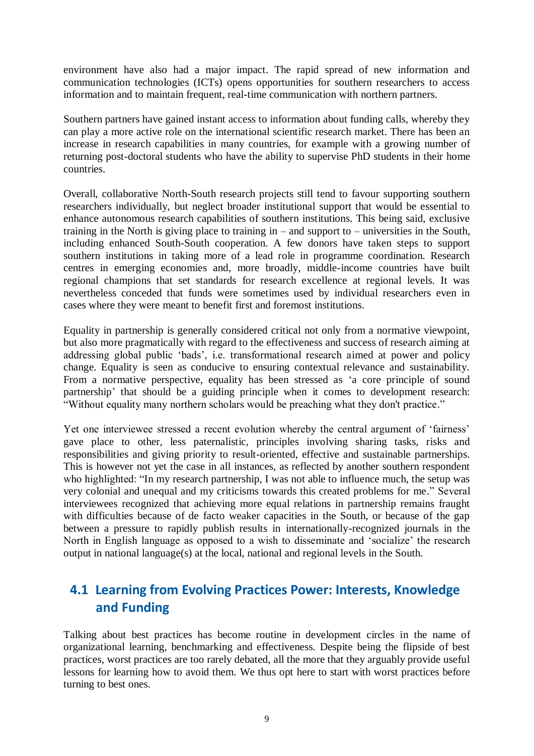environment have also had a major impact. The rapid spread of new information and communication technologies (ICTs) opens opportunities for southern researchers to access information and to maintain frequent, real-time communication with northern partners.

Southern partners have gained instant access to information about funding calls, whereby they can play a more active role on the international scientific research market. There has been an increase in research capabilities in many countries, for example with a growing number of returning post-doctoral students who have the ability to supervise PhD students in their home countries.

Overall, collaborative North-South research projects still tend to favour supporting southern researchers individually, but neglect broader institutional support that would be essential to enhance autonomous research capabilities of southern institutions. This being said, exclusive training in the North is giving place to training in – and support to – universities in the South, including enhanced South-South cooperation. A few donors have taken steps to support southern institutions in taking more of a lead role in programme coordination. Research centres in emerging economies and, more broadly, middle-income countries have built regional champions that set standards for research excellence at regional levels. It was nevertheless conceded that funds were sometimes used by individual researchers even in cases where they were meant to benefit first and foremost institutions.

Equality in partnership is generally considered critical not only from a normative viewpoint, but also more pragmatically with regard to the effectiveness and success of research aiming at addressing global public 'bads', i.e. transformational research aimed at power and policy change. Equality is seen as conducive to ensuring contextual relevance and sustainability. From a normative perspective, equality has been stressed as 'a core principle of sound partnership' that should be a guiding principle when it comes to development research: "Without equality many northern scholars would be preaching what they don't practice."

Yet one interviewee stressed a recent evolution whereby the central argument of 'fairness' gave place to other, less paternalistic, principles involving sharing tasks, risks and responsibilities and giving priority to result-oriented, effective and sustainable partnerships. This is however not yet the case in all instances, as reflected by another southern respondent who highlighted: "In my research partnership, I was not able to influence much, the setup was very colonial and unequal and my criticisms towards this created problems for me." Several interviewees recognized that achieving more equal relations in partnership remains fraught with difficulties because of de facto weaker capacities in the South, or because of the gap between a pressure to rapidly publish results in internationally-recognized journals in the North in English language as opposed to a wish to disseminate and 'socialize' the research output in national language(s) at the local, national and regional levels in the South.

### <span id="page-9-0"></span>**4.1 Learning from Evolving Practices Power: Interests, Knowledge and Funding**

Talking about best practices has become routine in development circles in the name of organizational learning, benchmarking and effectiveness. Despite being the flipside of best practices, worst practices are too rarely debated, all the more that they arguably provide useful lessons for learning how to avoid them. We thus opt here to start with worst practices before turning to best ones.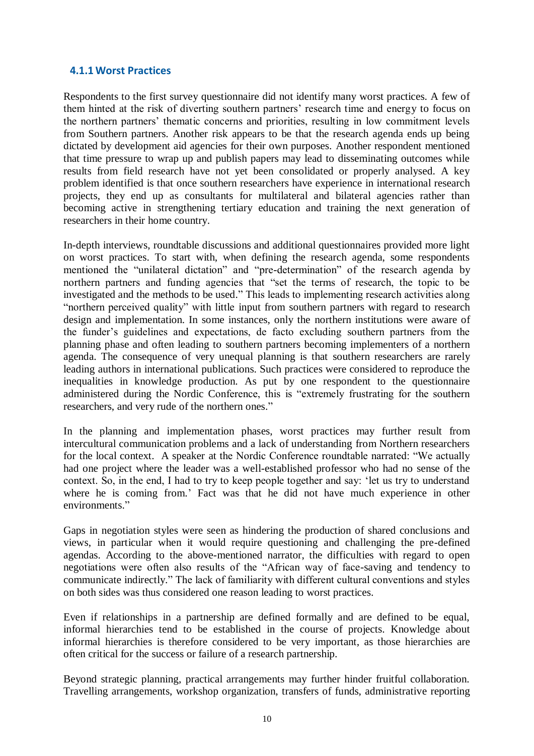#### <span id="page-10-0"></span>**4.1.1Worst Practices**

Respondents to the first survey questionnaire did not identify many worst practices. A few of them hinted at the risk of diverting southern partners' research time and energy to focus on the northern partners' thematic concerns and priorities, resulting in low commitment levels from Southern partners. Another risk appears to be that the research agenda ends up being dictated by development aid agencies for their own purposes. Another respondent mentioned that time pressure to wrap up and publish papers may lead to disseminating outcomes while results from field research have not yet been consolidated or properly analysed. A key problem identified is that once southern researchers have experience in international research projects, they end up as consultants for multilateral and bilateral agencies rather than becoming active in strengthening tertiary education and training the next generation of researchers in their home country.

In-depth interviews, roundtable discussions and additional questionnaires provided more light on worst practices. To start with, when defining the research agenda, some respondents mentioned the "unilateral dictation" and "pre-determination" of the research agenda by northern partners and funding agencies that "set the terms of research, the topic to be investigated and the methods to be used." This leads to implementing research activities along "northern perceived quality" with little input from southern partners with regard to research design and implementation. In some instances, only the northern institutions were aware of the funder's guidelines and expectations, de facto excluding southern partners from the planning phase and often leading to southern partners becoming implementers of a northern agenda. The consequence of very unequal planning is that southern researchers are rarely leading authors in international publications. Such practices were considered to reproduce the inequalities in knowledge production. As put by one respondent to the questionnaire administered during the Nordic Conference, this is "extremely frustrating for the southern researchers, and very rude of the northern ones."

In the planning and implementation phases, worst practices may further result from intercultural communication problems and a lack of understanding from Northern researchers for the local context. A speaker at the Nordic Conference roundtable narrated: "We actually had one project where the leader was a well-established professor who had no sense of the context. So, in the end, I had to try to keep people together and say: 'let us try to understand where he is coming from.' Fact was that he did not have much experience in other environments."

Gaps in negotiation styles were seen as hindering the production of shared conclusions and views, in particular when it would require questioning and challenging the pre-defined agendas. According to the above-mentioned narrator, the difficulties with regard to open negotiations were often also results of the "African way of face-saving and tendency to communicate indirectly." The lack of familiarity with different cultural conventions and styles on both sides was thus considered one reason leading to worst practices.

Even if relationships in a partnership are defined formally and are defined to be equal, informal hierarchies tend to be established in the course of projects. Knowledge about informal hierarchies is therefore considered to be very important, as those hierarchies are often critical for the success or failure of a research partnership.

Beyond strategic planning, practical arrangements may further hinder fruitful collaboration. Travelling arrangements, workshop organization, transfers of funds, administrative reporting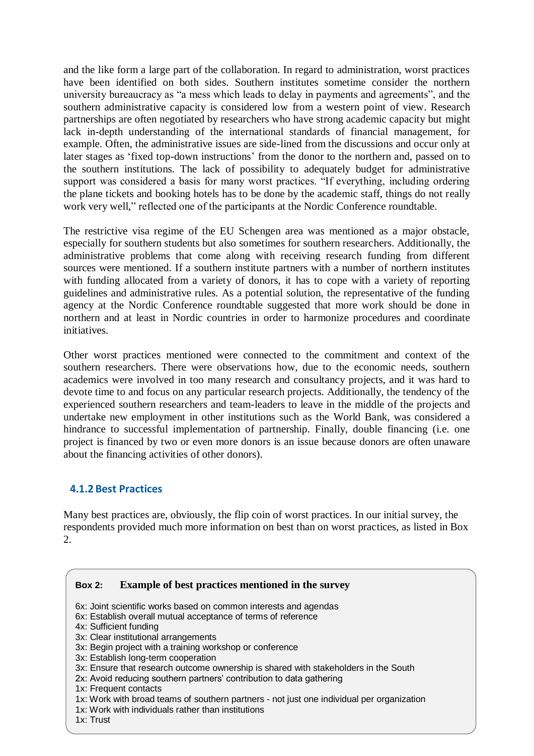and the like form a large part of the collaboration. In regard to administration, worst practices have been identified on both sides. Southern institutes sometime consider the northern university bureaucracy as "a mess which leads to delay in payments and agreements", and the southern administrative capacity is considered low from a western point of view. Research partnerships are often negotiated by researchers who have strong academic capacity but might lack in-depth understanding of the international standards of financial management, for example. Often, the administrative issues are side-lined from the discussions and occur only at later stages as 'fixed top-down instructions' from the donor to the northern and, passed on to the southern institutions. The lack of possibility to adequately budget for administrative support was considered a basis for many worst practices. "If everything, including ordering the plane tickets and booking hotels has to be done by the academic staff, things do not really work very well," reflected one of the participants at the Nordic Conference roundtable.

The restrictive visa regime of the EU Schengen area was mentioned as a major obstacle, especially for southern students but also sometimes for southern researchers. Additionally, the administrative problems that come along with receiving research funding from different sources were mentioned. If a southern institute partners with a number of northern institutes with funding allocated from a variety of donors, it has to cope with a variety of reporting guidelines and administrative rules. As a potential solution, the representative of the funding agency at the Nordic Conference roundtable suggested that more work should be done in northern and at least in Nordic countries in order to harmonize procedures and coordinate initiatives.

Other worst practices mentioned were connected to the commitment and context of the southern researchers. There were observations how, due to the economic needs, southern academics were involved in too many research and consultancy projects, and it was hard to devote time to and focus on any particular research projects. Additionally, the tendency of the experienced southern researchers and team-leaders to leave in the middle of the projects and undertake new employment in other institutions such as the World Bank, was considered a hindrance to successful implementation of partnership. Finally, double financing (i.e. one project is financed by two or even more donors is an issue because donors are often unaware about the financing activities of other donors).

#### <span id="page-11-0"></span>**4.1.2 Best Practices**

Many best practices are, obviously, the flip coin of worst practices. In our initial survey, the respondents provided much more information on best than on worst practices, as listed in Box 2.

#### **Box 2: Example of best practices mentioned in the survey**

- 6x: Joint scientific works based on common interests and agendas
- 6x: Establish overall mutual acceptance of terms of reference
- 4x: Sufficient funding
- 3x: Clear institutional arrangements
- 3x: Begin project with a training workshop or conference
- 3x: Establish long-term cooperation
- 3x: Ensure that research outcome ownership is shared with stakeholders in the South
- 2x: Avoid reducing southern partners' contribution to data gathering
- 1x: Frequent contacts
- 1x: Work with broad teams of southern partners not just one individual per organization
- 1x: Work with individuals rather than institutions
- 1x: Trust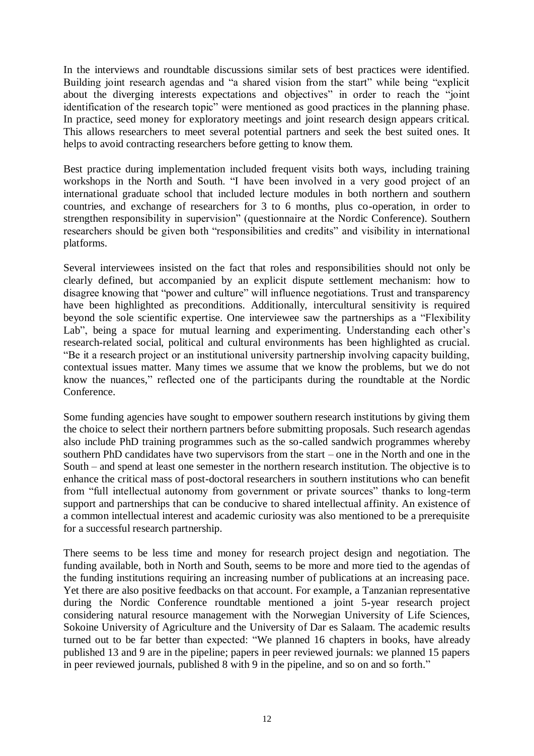In the interviews and roundtable discussions similar sets of best practices were identified. Building joint research agendas and "a shared vision from the start" while being "explicit about the diverging interests expectations and objectives" in order to reach the "joint identification of the research topic" were mentioned as good practices in the planning phase. In practice, seed money for exploratory meetings and joint research design appears critical. This allows researchers to meet several potential partners and seek the best suited ones. It helps to avoid contracting researchers before getting to know them.

Best practice during implementation included frequent visits both ways, including training workshops in the North and South. "I have been involved in a very good project of an international graduate school that included lecture modules in both northern and southern countries, and exchange of researchers for 3 to 6 months, plus co-operation, in order to strengthen responsibility in supervision" (questionnaire at the Nordic Conference). Southern researchers should be given both "responsibilities and credits" and visibility in international platforms.

Several interviewees insisted on the fact that roles and responsibilities should not only be clearly defined, but accompanied by an explicit dispute settlement mechanism: how to disagree knowing that "power and culture" will influence negotiations. Trust and transparency have been highlighted as preconditions. Additionally, intercultural sensitivity is required beyond the sole scientific expertise. One interviewee saw the partnerships as a "Flexibility Lab", being a space for mutual learning and experimenting. Understanding each other's research-related social, political and cultural environments has been highlighted as crucial. "Be it a research project or an institutional university partnership involving capacity building, contextual issues matter. Many times we assume that we know the problems, but we do not know the nuances," reflected one of the participants during the roundtable at the Nordic Conference.

Some funding agencies have sought to empower southern research institutions by giving them the choice to select their northern partners before submitting proposals. Such research agendas also include PhD training programmes such as the so-called sandwich programmes whereby southern PhD candidates have two supervisors from the start – one in the North and one in the South – and spend at least one semester in the northern research institution. The objective is to enhance the critical mass of post-doctoral researchers in southern institutions who can benefit from "full intellectual autonomy from government or private sources" thanks to long-term support and partnerships that can be conducive to shared intellectual affinity. An existence of a common intellectual interest and academic curiosity was also mentioned to be a prerequisite for a successful research partnership.

There seems to be less time and money for research project design and negotiation. The funding available, both in North and South, seems to be more and more tied to the agendas of the funding institutions requiring an increasing number of publications at an increasing pace. Yet there are also positive feedbacks on that account. For example, a Tanzanian representative during the Nordic Conference roundtable mentioned a joint 5-year research project considering natural resource management with the Norwegian University of Life Sciences, Sokoine University of Agriculture and the University of Dar es Salaam. The academic results turned out to be far better than expected: "We planned 16 chapters in books, have already published 13 and 9 are in the pipeline; papers in peer reviewed journals: we planned 15 papers in peer reviewed journals, published 8 with 9 in the pipeline, and so on and so forth."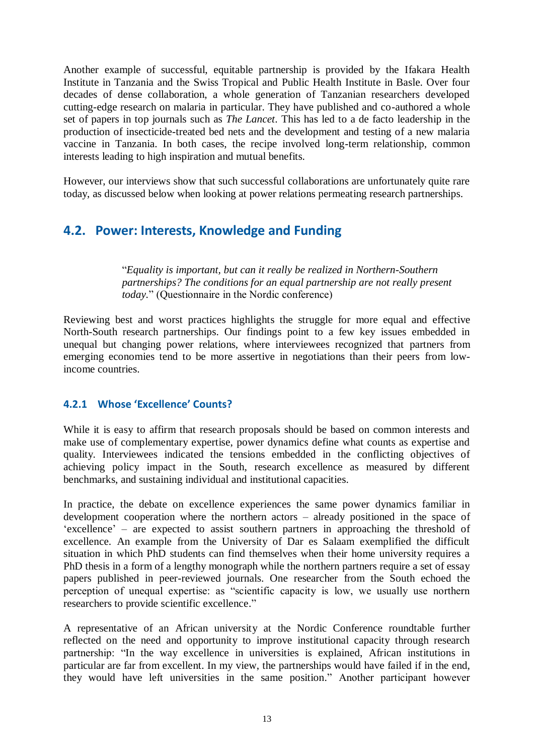Another example of successful, equitable partnership is provided by the Ifakara Health Institute in Tanzania and the Swiss Tropical and Public Health Institute in Basle. Over four decades of dense collaboration, a whole generation of Tanzanian researchers developed cutting-edge research on malaria in particular. They have published and co-authored a whole set of papers in top journals such as *The Lancet*. This has led to a de facto leadership in the production of insecticide-treated bed nets and the development and testing of a new malaria vaccine in Tanzania. In both cases, the recipe involved long-term relationship, common interests leading to high inspiration and mutual benefits.

<span id="page-13-0"></span>However, our interviews show that such successful collaborations are unfortunately quite rare today, as discussed below when looking at power relations permeating research partnerships.

### **4.2. Power: Interests, Knowledge and Funding**

"*Equality is important, but can it really be realized in Northern-Southern partnerships? The conditions for an equal partnership are not really present today.*" (Questionnaire in the Nordic conference)

Reviewing best and worst practices highlights the struggle for more equal and effective North-South research partnerships. Our findings point to a few key issues embedded in unequal but changing power relations, where interviewees recognized that partners from emerging economies tend to be more assertive in negotiations than their peers from lowincome countries.

#### <span id="page-13-1"></span>**4.2.1 Whose 'Excellence' Counts?**

While it is easy to affirm that research proposals should be based on common interests and make use of complementary expertise, power dynamics define what counts as expertise and quality. Interviewees indicated the tensions embedded in the conflicting objectives of achieving policy impact in the South, research excellence as measured by different benchmarks, and sustaining individual and institutional capacities.

In practice, the debate on excellence experiences the same power dynamics familiar in development cooperation where the northern actors – already positioned in the space of 'excellence' – are expected to assist southern partners in approaching the threshold of excellence. An example from the University of Dar es Salaam exemplified the difficult situation in which PhD students can find themselves when their home university requires a PhD thesis in a form of a lengthy monograph while the northern partners require a set of essay papers published in peer-reviewed journals. One researcher from the South echoed the perception of unequal expertise: as "scientific capacity is low, we usually use northern researchers to provide scientific excellence."

A representative of an African university at the Nordic Conference roundtable further reflected on the need and opportunity to improve institutional capacity through research partnership: "In the way excellence in universities is explained, African institutions in particular are far from excellent. In my view, the partnerships would have failed if in the end, they would have left universities in the same position." Another participant however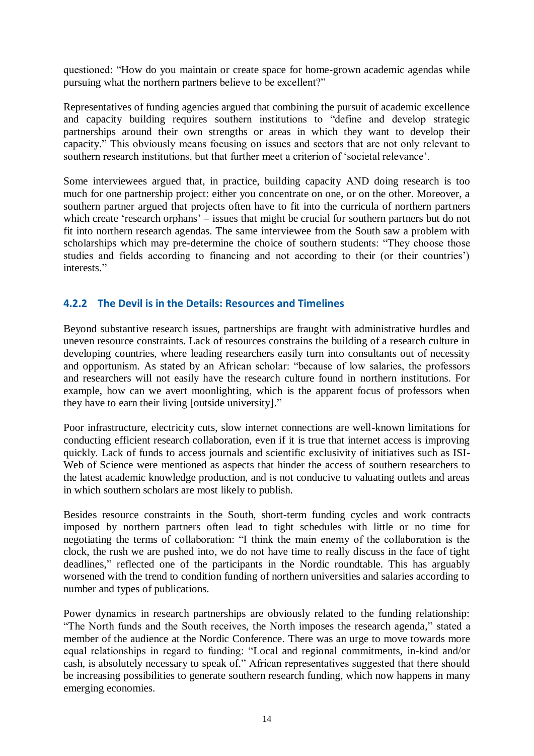questioned: "How do you maintain or create space for home-grown academic agendas while pursuing what the northern partners believe to be excellent?"

Representatives of funding agencies argued that combining the pursuit of academic excellence and capacity building requires southern institutions to "define and develop strategic partnerships around their own strengths or areas in which they want to develop their capacity." This obviously means focusing on issues and sectors that are not only relevant to southern research institutions, but that further meet a criterion of 'societal relevance'.

Some interviewees argued that, in practice, building capacity AND doing research is too much for one partnership project: either you concentrate on one, or on the other. Moreover, a southern partner argued that projects often have to fit into the curricula of northern partners which create 'research orphans' – issues that might be crucial for southern partners but do not fit into northern research agendas. The same interviewee from the South saw a problem with scholarships which may pre-determine the choice of southern students: "They choose those studies and fields according to financing and not according to their (or their countries') interests<sup>"</sup>

#### <span id="page-14-0"></span>**4.2.2 The Devil is in the Details: Resources and Timelines**

Beyond substantive research issues, partnerships are fraught with administrative hurdles and uneven resource constraints. Lack of resources constrains the building of a research culture in developing countries, where leading researchers easily turn into consultants out of necessity and opportunism. As stated by an African scholar: "because of low salaries, the professors and researchers will not easily have the research culture found in northern institutions. For example, how can we avert moonlighting, which is the apparent focus of professors when they have to earn their living [outside university]."

Poor infrastructure, electricity cuts, slow internet connections are well-known limitations for conducting efficient research collaboration, even if it is true that internet access is improving quickly. Lack of funds to access journals and scientific exclusivity of initiatives such as ISI-Web of Science were mentioned as aspects that hinder the access of southern researchers to the latest academic knowledge production, and is not conducive to valuating outlets and areas in which southern scholars are most likely to publish.

Besides resource constraints in the South, short-term funding cycles and work contracts imposed by northern partners often lead to tight schedules with little or no time for negotiating the terms of collaboration: "I think the main enemy of the collaboration is the clock, the rush we are pushed into, we do not have time to really discuss in the face of tight deadlines," reflected one of the participants in the Nordic roundtable. This has arguably worsened with the trend to condition funding of northern universities and salaries according to number and types of publications.

Power dynamics in research partnerships are obviously related to the funding relationship: "The North funds and the South receives, the North imposes the research agenda," stated a member of the audience at the Nordic Conference. There was an urge to move towards more equal relationships in regard to funding: "Local and regional commitments, in-kind and/or cash, is absolutely necessary to speak of." African representatives suggested that there should be increasing possibilities to generate southern research funding, which now happens in many emerging economies.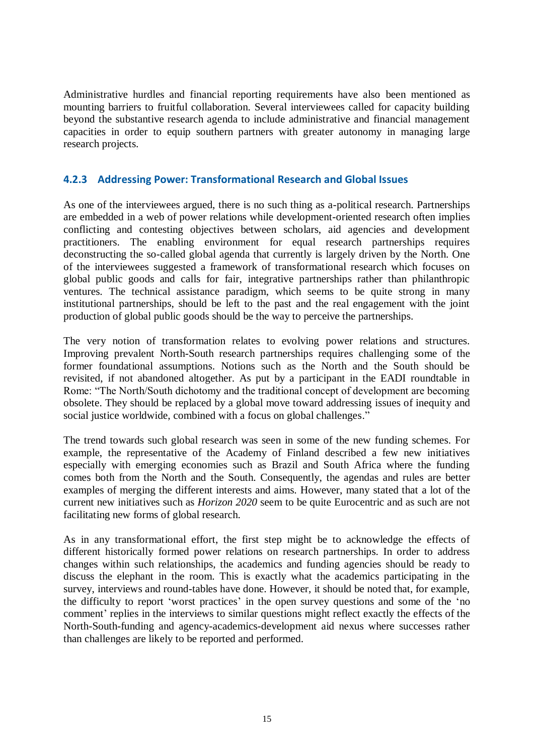Administrative hurdles and financial reporting requirements have also been mentioned as mounting barriers to fruitful collaboration. Several interviewees called for capacity building beyond the substantive research agenda to include administrative and financial management capacities in order to equip southern partners with greater autonomy in managing large research projects.

#### <span id="page-15-0"></span>**4.2.3 Addressing Power: Transformational Research and Global Issues**

As one of the interviewees argued, there is no such thing as a-political research. Partnerships are embedded in a web of power relations while development-oriented research often implies conflicting and contesting objectives between scholars, aid agencies and development practitioners. The enabling environment for equal research partnerships requires deconstructing the so-called global agenda that currently is largely driven by the North. One of the interviewees suggested a framework of transformational research which focuses on global public goods and calls for fair, integrative partnerships rather than philanthropic ventures. The technical assistance paradigm, which seems to be quite strong in many institutional partnerships, should be left to the past and the real engagement with the joint production of global public goods should be the way to perceive the partnerships.

The very notion of transformation relates to evolving power relations and structures. Improving prevalent North-South research partnerships requires challenging some of the former foundational assumptions. Notions such as the North and the South should be revisited, if not abandoned altogether. As put by a participant in the EADI roundtable in Rome: "The North/South dichotomy and the traditional concept of development are becoming obsolete. They should be replaced by a global move toward addressing issues of inequity and social justice worldwide, combined with a focus on global challenges."

The trend towards such global research was seen in some of the new funding schemes. For example, the representative of the Academy of Finland described a few new initiatives especially with emerging economies such as Brazil and South Africa where the funding comes both from the North and the South. Consequently, the agendas and rules are better examples of merging the different interests and aims. However, many stated that a lot of the current new initiatives such as *Horizon 2020* seem to be quite Eurocentric and as such are not facilitating new forms of global research.

As in any transformational effort, the first step might be to acknowledge the effects of different historically formed power relations on research partnerships. In order to address changes within such relationships, the academics and funding agencies should be ready to discuss the elephant in the room. This is exactly what the academics participating in the survey, interviews and round-tables have done. However, it should be noted that, for example, the difficulty to report 'worst practices' in the open survey questions and some of the 'no comment' replies in the interviews to similar questions might reflect exactly the effects of the North-South-funding and agency-academics-development aid nexus where successes rather than challenges are likely to be reported and performed.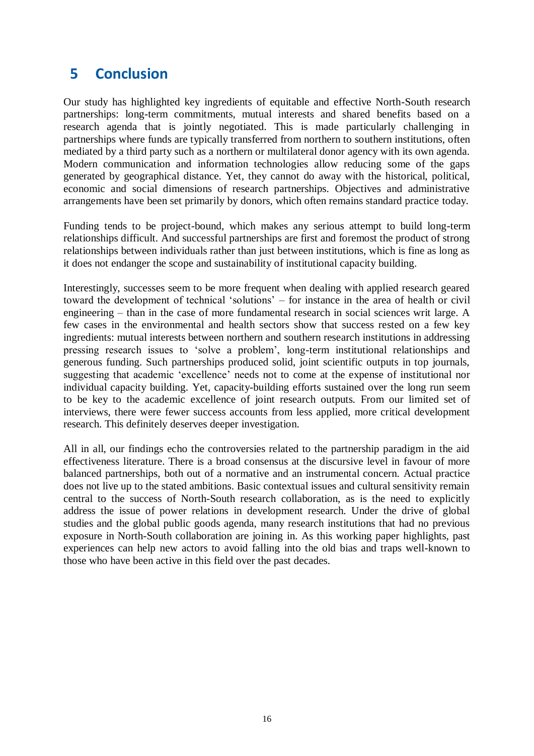# <span id="page-16-0"></span>**5 Conclusion**

Our study has highlighted key ingredients of equitable and effective North-South research partnerships: long-term commitments, mutual interests and shared benefits based on a research agenda that is jointly negotiated. This is made particularly challenging in partnerships where funds are typically transferred from northern to southern institutions, often mediated by a third party such as a northern or multilateral donor agency with its own agenda. Modern communication and information technologies allow reducing some of the gaps generated by geographical distance. Yet, they cannot do away with the historical, political, economic and social dimensions of research partnerships. Objectives and administrative arrangements have been set primarily by donors, which often remains standard practice today.

Funding tends to be project-bound, which makes any serious attempt to build long-term relationships difficult. And successful partnerships are first and foremost the product of strong relationships between individuals rather than just between institutions, which is fine as long as it does not endanger the scope and sustainability of institutional capacity building.

Interestingly, successes seem to be more frequent when dealing with applied research geared toward the development of technical 'solutions' – for instance in the area of health or civil engineering – than in the case of more fundamental research in social sciences writ large. A few cases in the environmental and health sectors show that success rested on a few key ingredients: mutual interests between northern and southern research institutions in addressing pressing research issues to 'solve a problem', long-term institutional relationships and generous funding. Such partnerships produced solid, joint scientific outputs in top journals, suggesting that academic 'excellence' needs not to come at the expense of institutional nor individual capacity building. Yet, capacity-building efforts sustained over the long run seem to be key to the academic excellence of joint research outputs. From our limited set of interviews, there were fewer success accounts from less applied, more critical development research. This definitely deserves deeper investigation.

All in all, our findings echo the controversies related to the partnership paradigm in the aid effectiveness literature. There is a broad consensus at the discursive level in favour of more balanced partnerships, both out of a normative and an instrumental concern. Actual practice does not live up to the stated ambitions. Basic contextual issues and cultural sensitivity remain central to the success of North-South research collaboration, as is the need to explicitly address the issue of power relations in development research. Under the drive of global studies and the global public goods agenda, many research institutions that had no previous exposure in North-South collaboration are joining in. As this working paper highlights, past experiences can help new actors to avoid falling into the old bias and traps well-known to those who have been active in this field over the past decades.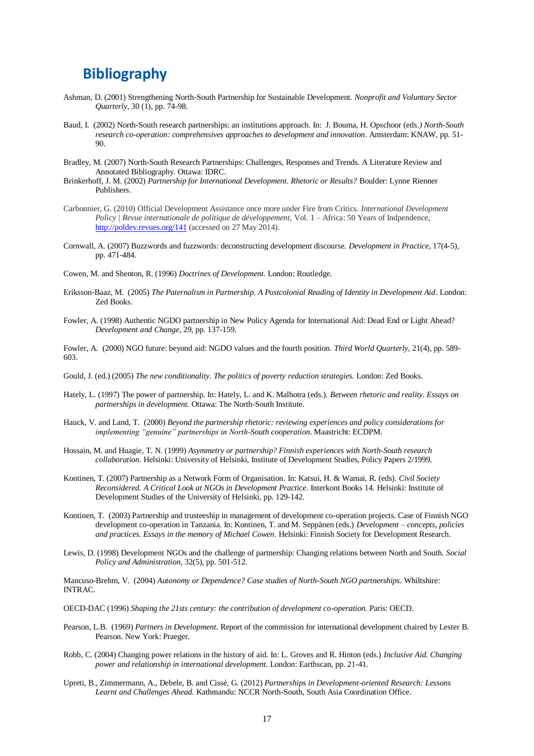### <span id="page-17-0"></span>**Bibliography**

- Ashman, D. (2001) Strengthening North-South Partnership for Sustainable Development. *Nonprofit and Voluntary Sector Quarterly,* 30 (1), pp. 74-98.
- Baud, I. (2002) North-South research partnerships: an institutions approach. In: J. Bouma, H. Opschoor (eds*.) North-South research co-operation: comprehensives approaches to development and innovation*. Amsterdam: KNAW, pp. 51- 90.
- Bradley, M. (2007) North-South Research Partnerships: Challenges, Responses and Trends. A Literature Review and Annotated Bibliography. Ottawa: IDRC.
- Brinkerhoff, J. M. (2002) *Partnership for International Development. Rhetoric or Results?* Boulder: Lynne Rienner Publishers.
- Carbonnier, G. (2010) Official Development Assistance once more under Fire from Critics. *International Development Policy | Revue internationale de politique de développement,* Vol. 1 – Africa: 50 Years of Indpendence, <http://poldev.revues.org/141> (accessed on 27 May 2014).
- Cornwall, A. (2007) Buzzwords and fuzzwords: deconstructing development discourse. *Development in Practice*, 17(4-5), pp. 471-484.
- Cowen, M. and Shenton, R. (1996) *Doctrines of Development*. London: Routledge.
- Eriksson-Baaz, M. (2005) *The Paternalism in Partnership. A Postcolonial Reading of Identity in Development Aid*. London: Zed Books.
- Fowler, A. (1998) Authentic NGDO partnership in New Policy Agenda for International Aid: Dead End or Light Ahead? *Development and Change*, 29, pp. 137-159.
- Fowler, A. (2000) NGO future: beyond aid: NGDO values and the fourth position. *Third World Quarterly,* 21(4), pp. 589- 603.
- Gould, J. (ed.) (2005) *The new conditionality. The politics of poverty reduction strategies.* London: Zed Books.
- Hately, L. (1997) The power of partnership. In: Hately, L. and K. Malhotra (eds.). *Between rhetoric and reality. Essays on partnerships in development.* Ottawa: The North-South Institute.
- Hauck, V. and Land, T. (2000) *Beyond the partnership rhetoric: reviewing experiences and policy considerations for implementing "genuine" partnerships in North-South cooperation*. Maastricht: ECDPM.
- Hossain, M. and Huagie, T. N. (1999) *Asymmetry or partnership? Finnish experiences with North-South research collaboration*. Helsinki: University of Helsinki, Institute of Development Studies, Policy Papers 2/1999.
- Kontinen, T. (2007) Partnership as a Network Form of Organisation. In: Katsui, H. & Wamai, R. (eds). *Civil Society Reconsidered. A Critical Look at NGOs in Development Practice*. Interkont Books 14. Helsinki: Institute of Development Studies of the University of Helsinki, pp. 129-142.
- Kontinen, T. (2003) Partnership and trusteeship in management of development co-operation projects. Case of Finnish NGO development co-operation in Tanzania. In: Kontinen, T. and M. Seppänen (eds.) *Development – concepts, policies and practices. Essays in the memory of Michael Cowen*. Helsinki: Finnish Society for Development Research.
- Lewis, D. (1998) Development NGOs and the challenge of partnership: Changing relations between North and South. *Social Policy and Administration*, 32(5), pp. 501-512.

Mancuso-Brehm, V. (2004) *Autonomy or Dependence? Case studies of North-South NGO partnerships*. Whiltshire: INTRAC.

- OECD-DAC (1996) *Shaping the 21sts century: the contribution of development co-operation*. Paris: OECD.
- Pearson, L.B. (1969) *Partners in Development*. Report of the commission for international development chaired by Lester B. Pearson. New York: Praeger.
- Robb, C. (2004) Changing power relations in the history of aid. In: L. Groves and R. Hinton (eds.) *Inclusive Aid. Changing power and relationship in international development*. London: Earthscan, pp. 21-41.
- Upreti, B., Zimmermann, A., Debele, B. and Cissé, G. (2012) *Partnerships in Development-oriented Research: Lessons Learnt and Challenges Ahead.* Kathmandu: NCCR North-South, South Asia Coordination Office.